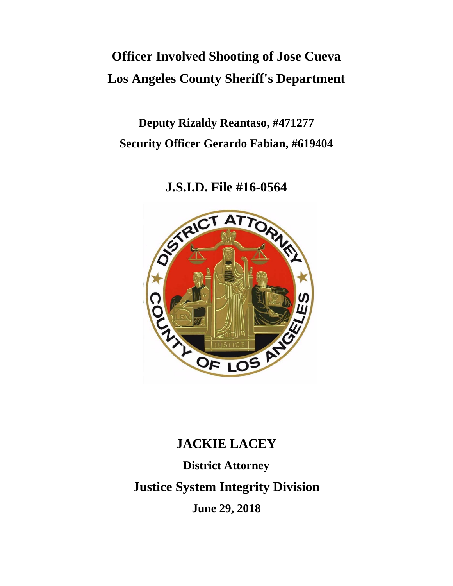# **Officer Involved Shooting of Jose Cueva Los Angeles County Sheriff's Department**

**Deputy Rizaldy Reantaso, #471277 Security Officer Gerardo Fabian, #619404**

**J.S.I.D. File #16-0564**



# **JACKIE LACEY**

**District Attorney Justice System Integrity Division June 29, 2018**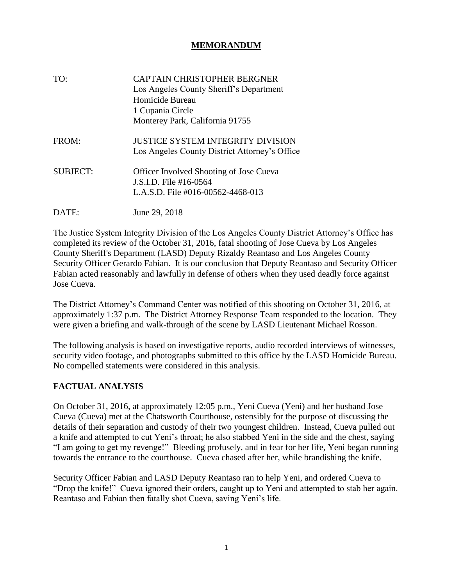#### **MEMORANDUM**

| TO:             | <b>CAPTAIN CHRISTOPHER BERGNER</b><br>Los Angeles County Sheriff's Department<br>Homicide Bureau<br>1 Cupania Circle<br>Monterey Park, California 91755 |
|-----------------|---------------------------------------------------------------------------------------------------------------------------------------------------------|
| FROM:           | JUSTICE SYSTEM INTEGRITY DIVISION<br>Los Angeles County District Attorney's Office                                                                      |
| <b>SUBJECT:</b> | <b>Officer Involved Shooting of Jose Cueva</b><br>J.S.I.D. File #16-0564<br>L.A.S.D. File #016-00562-4468-013                                           |
| DATE:           | June 29, 2018                                                                                                                                           |

The Justice System Integrity Division of the Los Angeles County District Attorney's Office has completed its review of the October 31, 2016, fatal shooting of Jose Cueva by Los Angeles County Sheriff's Department (LASD) Deputy Rizaldy Reantaso and Los Angeles County Security Officer Gerardo Fabian. It is our conclusion that Deputy Reantaso and Security Officer Fabian acted reasonably and lawfully in defense of others when they used deadly force against Jose Cueva.

The District Attorney's Command Center was notified of this shooting on October 31, 2016, at approximately 1:37 p.m. The District Attorney Response Team responded to the location. They were given a briefing and walk-through of the scene by LASD Lieutenant Michael Rosson.

The following analysis is based on investigative reports, audio recorded interviews of witnesses, security video footage, and photographs submitted to this office by the LASD Homicide Bureau. No compelled statements were considered in this analysis.

#### **FACTUAL ANALYSIS**

On October 31, 2016, at approximately 12:05 p.m., Yeni Cueva (Yeni) and her husband Jose Cueva (Cueva) met at the Chatsworth Courthouse, ostensibly for the purpose of discussing the details of their separation and custody of their two youngest children. Instead, Cueva pulled out a knife and attempted to cut Yeni's throat; he also stabbed Yeni in the side and the chest, saying "I am going to get my revenge!" Bleeding profusely, and in fear for her life, Yeni began running towards the entrance to the courthouse. Cueva chased after her, while brandishing the knife.

Security Officer Fabian and LASD Deputy Reantaso ran to help Yeni, and ordered Cueva to "Drop the knife!" Cueva ignored their orders, caught up to Yeni and attempted to stab her again. Reantaso and Fabian then fatally shot Cueva, saving Yeni's life.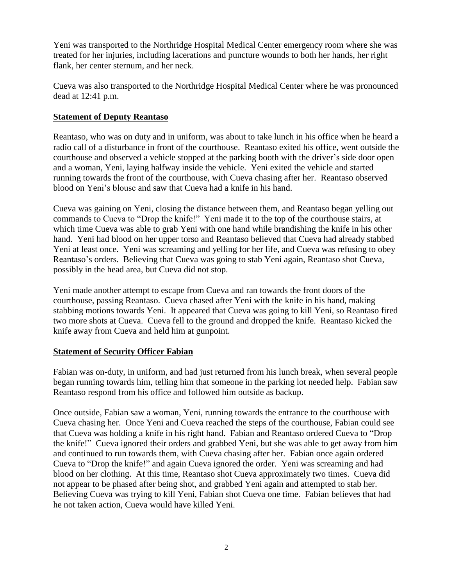Yeni was transported to the Northridge Hospital Medical Center emergency room where she was treated for her injuries, including lacerations and puncture wounds to both her hands, her right flank, her center sternum, and her neck.

Cueva was also transported to the Northridge Hospital Medical Center where he was pronounced dead at 12:41 p.m.

# **Statement of Deputy Reantaso**

Reantaso, who was on duty and in uniform, was about to take lunch in his office when he heard a radio call of a disturbance in front of the courthouse. Reantaso exited his office, went outside the courthouse and observed a vehicle stopped at the parking booth with the driver's side door open and a woman, Yeni, laying halfway inside the vehicle. Yeni exited the vehicle and started running towards the front of the courthouse, with Cueva chasing after her. Reantaso observed blood on Yeni's blouse and saw that Cueva had a knife in his hand.

Cueva was gaining on Yeni, closing the distance between them, and Reantaso began yelling out commands to Cueva to "Drop the knife!" Yeni made it to the top of the courthouse stairs, at which time Cueva was able to grab Yeni with one hand while brandishing the knife in his other hand. Yeni had blood on her upper torso and Reantaso believed that Cueva had already stabbed Yeni at least once. Yeni was screaming and yelling for her life, and Cueva was refusing to obey Reantaso's orders. Believing that Cueva was going to stab Yeni again, Reantaso shot Cueva, possibly in the head area, but Cueva did not stop.

Yeni made another attempt to escape from Cueva and ran towards the front doors of the courthouse, passing Reantaso. Cueva chased after Yeni with the knife in his hand, making stabbing motions towards Yeni. It appeared that Cueva was going to kill Yeni, so Reantaso fired two more shots at Cueva. Cueva fell to the ground and dropped the knife. Reantaso kicked the knife away from Cueva and held him at gunpoint.

# **Statement of Security Officer Fabian**

Fabian was on-duty, in uniform, and had just returned from his lunch break, when several people began running towards him, telling him that someone in the parking lot needed help. Fabian saw Reantaso respond from his office and followed him outside as backup.

Once outside, Fabian saw a woman, Yeni, running towards the entrance to the courthouse with Cueva chasing her. Once Yeni and Cueva reached the steps of the courthouse, Fabian could see that Cueva was holding a knife in his right hand. Fabian and Reantaso ordered Cueva to "Drop the knife!" Cueva ignored their orders and grabbed Yeni, but she was able to get away from him and continued to run towards them, with Cueva chasing after her. Fabian once again ordered Cueva to "Drop the knife!" and again Cueva ignored the order. Yeni was screaming and had blood on her clothing. At this time, Reantaso shot Cueva approximately two times. Cueva did not appear to be phased after being shot, and grabbed Yeni again and attempted to stab her. Believing Cueva was trying to kill Yeni, Fabian shot Cueva one time. Fabian believes that had he not taken action, Cueva would have killed Yeni.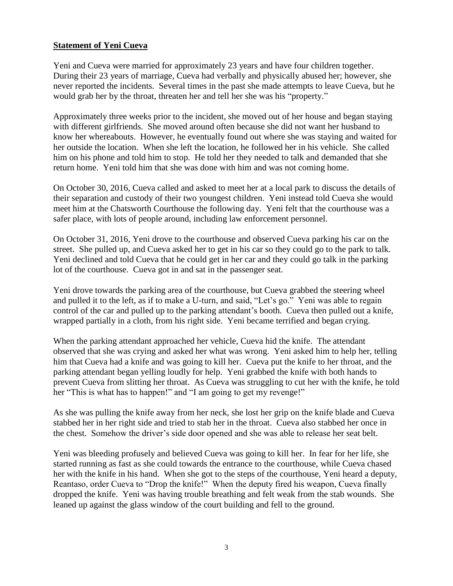#### **Statement of Yeni Cueva**

Yeni and Cueva were married for approximately 23 years and have four children together. During their 23 years of marriage, Cueva had verbally and physically abused her; however, she never reported the incidents. Several times in the past she made attempts to leave Cueva, but he would grab her by the throat, threaten her and tell her she was his "property."

Approximately three weeks prior to the incident, she moved out of her house and began staying with different girlfriends. She moved around often because she did not want her husband to know her whereabouts. However, he eventually found out where she was staying and waited for her outside the location. When she left the location, he followed her in his vehicle. She called him on his phone and told him to stop. He told her they needed to talk and demanded that she return home. Yeni told him that she was done with him and was not coming home.

On October 30, 2016, Cueva called and asked to meet her at a local park to discuss the details of their separation and custody of their two youngest children. Yeni instead told Cueva she would meet him at the Chatsworth Courthouse the following day. Yeni felt that the courthouse was a safer place, with lots of people around, including law enforcement personnel.

On October 31, 2016, Yeni drove to the courthouse and observed Cueva parking his car on the street. She pulled up, and Cueva asked her to get in his car so they could go to the park to talk. Yeni declined and told Cueva that he could get in her car and they could go talk in the parking lot of the courthouse. Cueva got in and sat in the passenger seat.

Yeni drove towards the parking area of the courthouse, but Cueva grabbed the steering wheel and pulled it to the left, as if to make a U-turn, and said, "Let's go." Yeni was able to regain control of the car and pulled up to the parking attendant's booth. Cueva then pulled out a knife, wrapped partially in a cloth, from his right side. Yeni became terrified and began crying.

When the parking attendant approached her vehicle, Cueva hid the knife. The attendant observed that she was crying and asked her what was wrong. Yeni asked him to help her, telling him that Cueva had a knife and was going to kill her. Cueva put the knife to her throat, and the parking attendant began yelling loudly for help. Yeni grabbed the knife with both hands to prevent Cueva from slitting her throat. As Cueva was struggling to cut her with the knife, he told her "This is what has to happen!" and "I am going to get my revenge!"

As she was pulling the knife away from her neck, she lost her grip on the knife blade and Cueva stabbed her in her right side and tried to stab her in the throat. Cueva also stabbed her once in the chest. Somehow the driver's side door opened and she was able to release her seat belt.

Yeni was bleeding profusely and believed Cueva was going to kill her. In fear for her life, she started running as fast as she could towards the entrance to the courthouse, while Cueva chased her with the knife in his hand. When she got to the steps of the courthouse, Yeni heard a deputy, Reantaso, order Cueva to "Drop the knife!" When the deputy fired his weapon, Cueva finally dropped the knife. Yeni was having trouble breathing and felt weak from the stab wounds. She leaned up against the glass window of the court building and fell to the ground.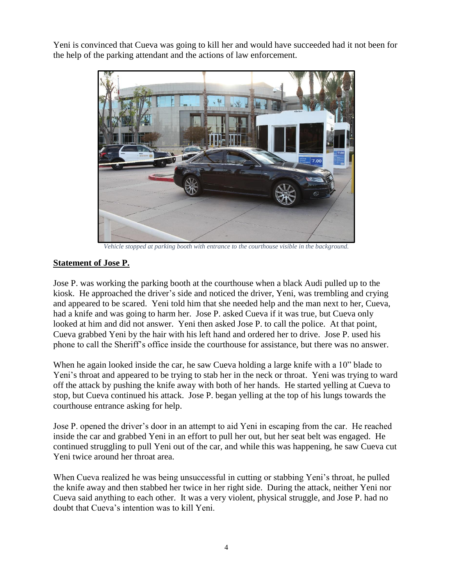Yeni is convinced that Cueva was going to kill her and would have succeeded had it not been for the help of the parking attendant and the actions of law enforcement.



*Vehicle stopped at parking booth with entrance to the courthouse visible in the background.*

# **Statement of Jose P.**

Jose P. was working the parking booth at the courthouse when a black Audi pulled up to the kiosk. He approached the driver's side and noticed the driver, Yeni, was trembling and crying and appeared to be scared. Yeni told him that she needed help and the man next to her, Cueva, had a knife and was going to harm her. Jose P. asked Cueva if it was true, but Cueva only looked at him and did not answer. Yeni then asked Jose P. to call the police. At that point, Cueva grabbed Yeni by the hair with his left hand and ordered her to drive. Jose P. used his phone to call the Sheriff's office inside the courthouse for assistance, but there was no answer.

When he again looked inside the car, he saw Cueva holding a large knife with a 10" blade to Yeni's throat and appeared to be trying to stab her in the neck or throat. Yeni was trying to ward off the attack by pushing the knife away with both of her hands. He started yelling at Cueva to stop, but Cueva continued his attack. Jose P. began yelling at the top of his lungs towards the courthouse entrance asking for help.

Jose P. opened the driver's door in an attempt to aid Yeni in escaping from the car. He reached inside the car and grabbed Yeni in an effort to pull her out, but her seat belt was engaged. He continued struggling to pull Yeni out of the car, and while this was happening, he saw Cueva cut Yeni twice around her throat area.

When Cueva realized he was being unsuccessful in cutting or stabbing Yeni's throat, he pulled the knife away and then stabbed her twice in her right side. During the attack, neither Yeni nor Cueva said anything to each other. It was a very violent, physical struggle, and Jose P. had no doubt that Cueva's intention was to kill Yeni.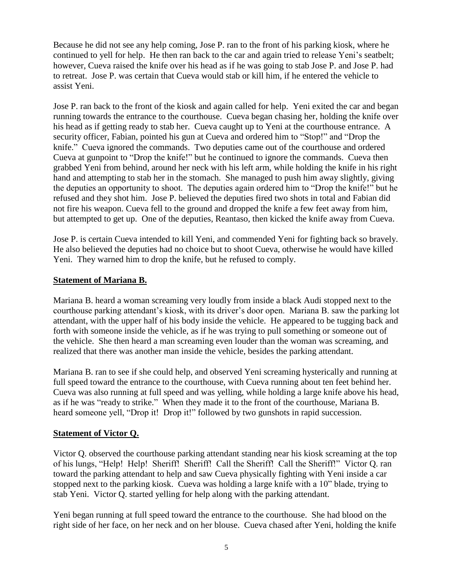Because he did not see any help coming, Jose P. ran to the front of his parking kiosk, where he continued to yell for help. He then ran back to the car and again tried to release Yeni's seatbelt; however, Cueva raised the knife over his head as if he was going to stab Jose P. and Jose P. had to retreat. Jose P. was certain that Cueva would stab or kill him, if he entered the vehicle to assist Yeni.

Jose P. ran back to the front of the kiosk and again called for help. Yeni exited the car and began running towards the entrance to the courthouse. Cueva began chasing her, holding the knife over his head as if getting ready to stab her. Cueva caught up to Yeni at the courthouse entrance. A security officer, Fabian, pointed his gun at Cueva and ordered him to "Stop!" and "Drop the knife." Cueva ignored the commands. Two deputies came out of the courthouse and ordered Cueva at gunpoint to "Drop the knife!" but he continued to ignore the commands. Cueva then grabbed Yeni from behind, around her neck with his left arm, while holding the knife in his right hand and attempting to stab her in the stomach. She managed to push him away slightly, giving the deputies an opportunity to shoot. The deputies again ordered him to "Drop the knife!" but he refused and they shot him. Jose P. believed the deputies fired two shots in total and Fabian did not fire his weapon. Cueva fell to the ground and dropped the knife a few feet away from him, but attempted to get up. One of the deputies, Reantaso, then kicked the knife away from Cueva.

Jose P. is certain Cueva intended to kill Yeni, and commended Yeni for fighting back so bravely. He also believed the deputies had no choice but to shoot Cueva, otherwise he would have killed Yeni. They warned him to drop the knife, but he refused to comply.

#### **Statement of Mariana B.**

Mariana B. heard a woman screaming very loudly from inside a black Audi stopped next to the courthouse parking attendant's kiosk, with its driver's door open. Mariana B. saw the parking lot attendant, with the upper half of his body inside the vehicle. He appeared to be tugging back and forth with someone inside the vehicle, as if he was trying to pull something or someone out of the vehicle. She then heard a man screaming even louder than the woman was screaming, and realized that there was another man inside the vehicle, besides the parking attendant.

Mariana B. ran to see if she could help, and observed Yeni screaming hysterically and running at full speed toward the entrance to the courthouse, with Cueva running about ten feet behind her. Cueva was also running at full speed and was yelling, while holding a large knife above his head, as if he was "ready to strike." When they made it to the front of the courthouse, Mariana B. heard someone yell, "Drop it! Drop it!" followed by two gunshots in rapid succession.

# **Statement of Victor Q.**

Victor Q. observed the courthouse parking attendant standing near his kiosk screaming at the top of his lungs, "Help! Help! Sheriff! Sheriff! Call the Sheriff! Call the Sheriff!" Victor Q. ran toward the parking attendant to help and saw Cueva physically fighting with Yeni inside a car stopped next to the parking kiosk. Cueva was holding a large knife with a 10" blade, trying to stab Yeni. Victor Q. started yelling for help along with the parking attendant.

Yeni began running at full speed toward the entrance to the courthouse. She had blood on the right side of her face, on her neck and on her blouse. Cueva chased after Yeni, holding the knife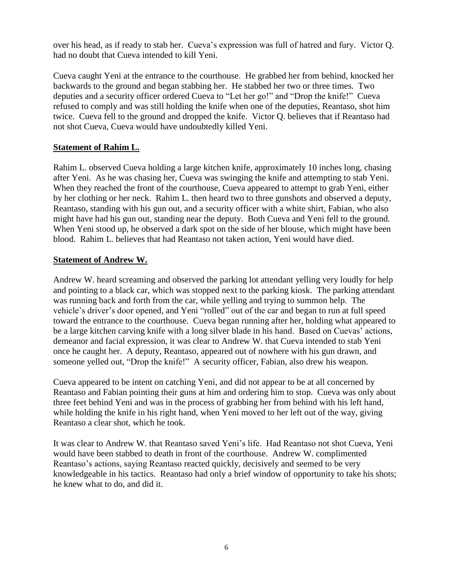over his head, as if ready to stab her. Cueva's expression was full of hatred and fury. Victor Q. had no doubt that Cueva intended to kill Yeni.

Cueva caught Yeni at the entrance to the courthouse. He grabbed her from behind, knocked her backwards to the ground and began stabbing her. He stabbed her two or three times. Two deputies and a security officer ordered Cueva to "Let her go!" and "Drop the knife!" Cueva refused to comply and was still holding the knife when one of the deputies, Reantaso, shot him twice. Cueva fell to the ground and dropped the knife. Victor Q. believes that if Reantaso had not shot Cueva, Cueva would have undoubtedly killed Yeni.

# **Statement of Rahim L.**

Rahim L. observed Cueva holding a large kitchen knife, approximately 10 inches long, chasing after Yeni. As he was chasing her, Cueva was swinging the knife and attempting to stab Yeni. When they reached the front of the courthouse, Cueva appeared to attempt to grab Yeni, either by her clothing or her neck. Rahim L. then heard two to three gunshots and observed a deputy, Reantaso, standing with his gun out, and a security officer with a white shirt, Fabian, who also might have had his gun out, standing near the deputy. Both Cueva and Yeni fell to the ground. When Yeni stood up, he observed a dark spot on the side of her blouse, which might have been blood. Rahim L. believes that had Reantaso not taken action, Yeni would have died.

# **Statement of Andrew W.**

Andrew W. heard screaming and observed the parking lot attendant yelling very loudly for help and pointing to a black car, which was stopped next to the parking kiosk. The parking attendant was running back and forth from the car, while yelling and trying to summon help. The vehicle's driver's door opened, and Yeni "rolled" out of the car and began to run at full speed toward the entrance to the courthouse. Cueva began running after her, holding what appeared to be a large kitchen carving knife with a long silver blade in his hand. Based on Cuevas' actions, demeanor and facial expression, it was clear to Andrew W. that Cueva intended to stab Yeni once he caught her. A deputy, Reantaso, appeared out of nowhere with his gun drawn, and someone yelled out, "Drop the knife!" A security officer, Fabian, also drew his weapon.

Cueva appeared to be intent on catching Yeni, and did not appear to be at all concerned by Reantaso and Fabian pointing their guns at him and ordering him to stop. Cueva was only about three feet behind Yeni and was in the process of grabbing her from behind with his left hand, while holding the knife in his right hand, when Yeni moved to her left out of the way, giving Reantaso a clear shot, which he took.

It was clear to Andrew W. that Reantaso saved Yeni's life. Had Reantaso not shot Cueva, Yeni would have been stabbed to death in front of the courthouse. Andrew W. complimented Reantaso's actions, saying Reantaso reacted quickly, decisively and seemed to be very knowledgeable in his tactics. Reantaso had only a brief window of opportunity to take his shots; he knew what to do, and did it.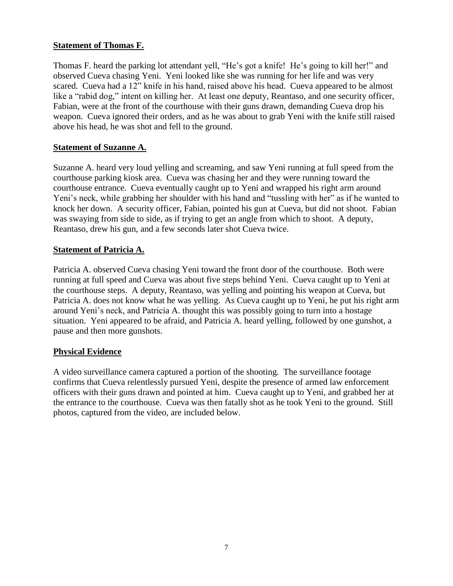#### **Statement of Thomas F.**

Thomas F. heard the parking lot attendant yell, "He's got a knife! He's going to kill her!" and observed Cueva chasing Yeni. Yeni looked like she was running for her life and was very scared. Cueva had a 12" knife in his hand, raised above his head. Cueva appeared to be almost like a "rabid dog," intent on killing her. At least one deputy, Reantaso, and one security officer, Fabian, were at the front of the courthouse with their guns drawn, demanding Cueva drop his weapon. Cueva ignored their orders, and as he was about to grab Yeni with the knife still raised above his head, he was shot and fell to the ground.

#### **Statement of Suzanne A.**

Suzanne A. heard very loud yelling and screaming, and saw Yeni running at full speed from the courthouse parking kiosk area. Cueva was chasing her and they were running toward the courthouse entrance. Cueva eventually caught up to Yeni and wrapped his right arm around Yeni's neck, while grabbing her shoulder with his hand and "tussling with her" as if he wanted to knock her down. A security officer, Fabian, pointed his gun at Cueva, but did not shoot. Fabian was swaying from side to side, as if trying to get an angle from which to shoot. A deputy, Reantaso, drew his gun, and a few seconds later shot Cueva twice.

# **Statement of Patricia A.**

Patricia A. observed Cueva chasing Yeni toward the front door of the courthouse. Both were running at full speed and Cueva was about five steps behind Yeni. Cueva caught up to Yeni at the courthouse steps. A deputy, Reantaso, was yelling and pointing his weapon at Cueva, but Patricia A. does not know what he was yelling. As Cueva caught up to Yeni, he put his right arm around Yeni's neck, and Patricia A. thought this was possibly going to turn into a hostage situation. Yeni appeared to be afraid, and Patricia A. heard yelling, followed by one gunshot, a pause and then more gunshots.

#### **Physical Evidence**

A video surveillance camera captured a portion of the shooting. The surveillance footage confirms that Cueva relentlessly pursued Yeni, despite the presence of armed law enforcement officers with their guns drawn and pointed at him. Cueva caught up to Yeni, and grabbed her at the entrance to the courthouse. Cueva was then fatally shot as he took Yeni to the ground. Still photos, captured from the video, are included below.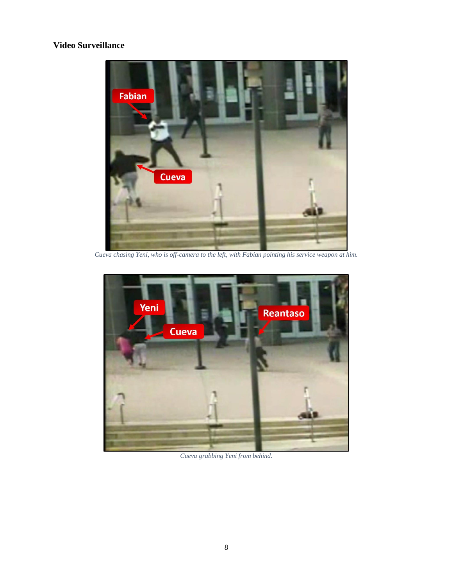# **Video Surveillance**



*Cueva chasing Yeni, who is off-camera to the left, with Fabian pointing his service weapon at him.* 



*Cueva grabbing Yeni from behind.*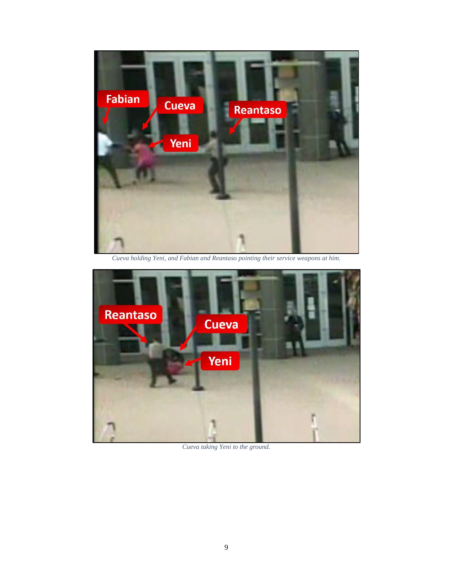

*Cueva holding Yeni, and Fabian and Reantaso pointing their service weapons at him.*



*Cueva taking Yeni to the ground.*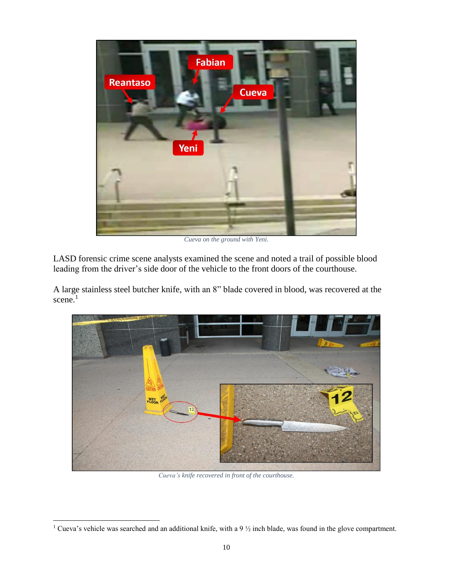

*Cueva on the ground with Yeni.*

LASD forensic crime scene analysts examined the scene and noted a trail of possible blood leading from the driver's side door of the vehicle to the front doors of the courthouse.

A large stainless steel butcher knife, with an 8" blade covered in blood, was recovered at the scene.<sup>1</sup>



*Cueva's knife recovered in front of the courthouse.*

<sup>&</sup>lt;sup>1</sup> Cueva's vehicle was searched and an additional knife, with a 9  $\frac{1}{2}$  inch blade, was found in the glove compartment.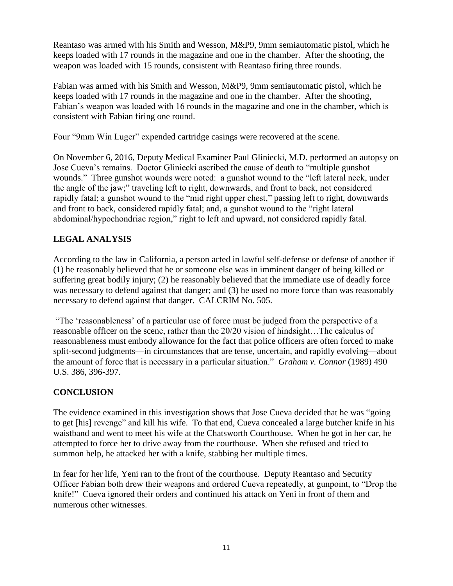Reantaso was armed with his Smith and Wesson, M&P9, 9mm semiautomatic pistol, which he keeps loaded with 17 rounds in the magazine and one in the chamber. After the shooting, the weapon was loaded with 15 rounds, consistent with Reantaso firing three rounds.

Fabian was armed with his Smith and Wesson, M&P9, 9mm semiautomatic pistol, which he keeps loaded with 17 rounds in the magazine and one in the chamber. After the shooting, Fabian's weapon was loaded with 16 rounds in the magazine and one in the chamber, which is consistent with Fabian firing one round.

Four "9mm Win Luger" expended cartridge casings were recovered at the scene.

On November 6, 2016, Deputy Medical Examiner Paul Gliniecki, M.D. performed an autopsy on Jose Cueva's remains. Doctor Gliniecki ascribed the cause of death to "multiple gunshot wounds." Three gunshot wounds were noted: a gunshot wound to the "left lateral neck, under the angle of the jaw;" traveling left to right, downwards, and front to back, not considered rapidly fatal; a gunshot wound to the "mid right upper chest," passing left to right, downwards and front to back, considered rapidly fatal; and, a gunshot wound to the "right lateral abdominal/hypochondriac region," right to left and upward, not considered rapidly fatal.

# **LEGAL ANALYSIS**

According to the law in California, a person acted in lawful self-defense or defense of another if (1) he reasonably believed that he or someone else was in imminent danger of being killed or suffering great bodily injury; (2) he reasonably believed that the immediate use of deadly force was necessary to defend against that danger; and (3) he used no more force than was reasonably necessary to defend against that danger. CALCRIM No. 505.

"The 'reasonableness' of a particular use of force must be judged from the perspective of a reasonable officer on the scene, rather than the 20/20 vision of hindsight…The calculus of reasonableness must embody allowance for the fact that police officers are often forced to make split-second judgments—in circumstances that are tense, uncertain, and rapidly evolving—about the amount of force that is necessary in a particular situation." *Graham v. Connor* (1989) 490 U.S. 386, 396-397.

# **CONCLUSION**

The evidence examined in this investigation shows that Jose Cueva decided that he was "going to get [his] revenge" and kill his wife. To that end, Cueva concealed a large butcher knife in his waistband and went to meet his wife at the Chatsworth Courthouse. When he got in her car, he attempted to force her to drive away from the courthouse. When she refused and tried to summon help, he attacked her with a knife, stabbing her multiple times.

In fear for her life, Yeni ran to the front of the courthouse. Deputy Reantaso and Security Officer Fabian both drew their weapons and ordered Cueva repeatedly, at gunpoint, to "Drop the knife!" Cueva ignored their orders and continued his attack on Yeni in front of them and numerous other witnesses.